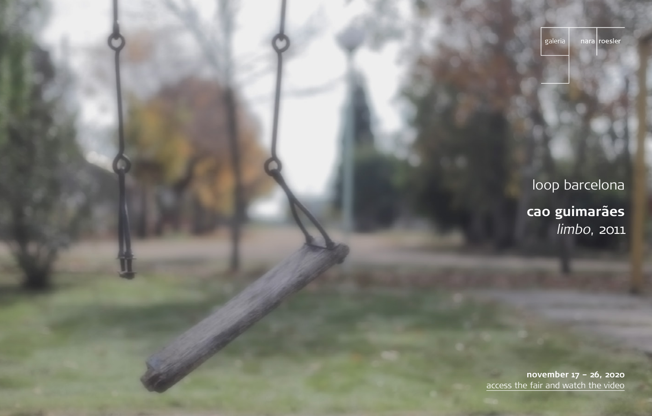galeria  $n$ ara roesler

loop barcelona cao guimarães limbo, 2011

november 17 - 26, 2020 access the fair and watch the video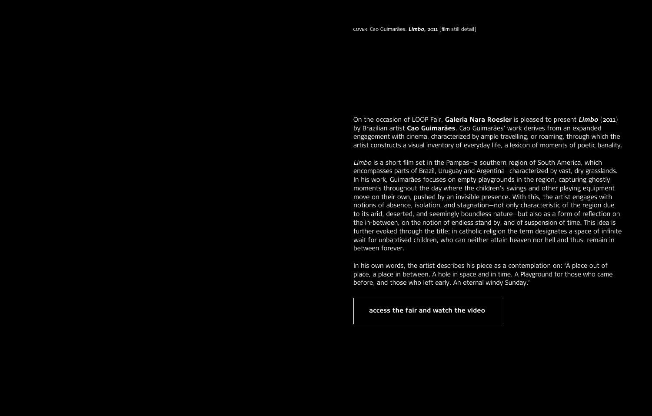On the occasion of LOOP Fair, **Galeria Nara Roesler** is pleased to present **Limbo** (2011) by Brazilian artist **Cao Guimarães**. Cao Guimarães' work derives from an expanded engagement with cinema, characterized by ample travelling, or roaming, through which the artist constructs a visual inventory of everyday life, a lexicon of moments of poetic banality.

Limbo is a short film set in the Pampas—a southern region of South America, which encompasses parts of Brazil, Uruguay and Argentina—characterized by vast, dry grasslands. In his work, Guimarães focuses on empty playgrounds in the region, capturing ghostly moments throughout the day where the children's swings and other playing equipment move on their own, pushed by an invisible presence. With this, the artist engages with notions of absence, isolation, and stagnation—not only characteristic of the region due to its arid, deserted, and seemingly boundless nature—but also as a form of reflection on the in-between, on the notion of endless stand by, and of suspension of time. This idea is further evoked through the title: in catholic religion the term designates a space of infinite wait for unbaptised children, who can neither attain heaven nor hell and thus, remain in between forever.

In his own words, the artist describes his piece as a contemplation on: 'A place out of place, a place in between. A hole in space and in time. A Playground for those who came before, and those who left early. An eternal windy Sunday.'

**[access the fair and watch the video](https://loop-barcelona.com/artist-video/limbo-cast/)**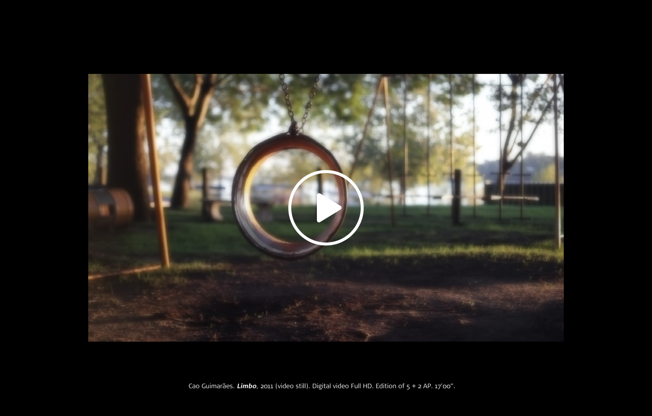

Cao Guimarães. **Limbo**, 2011 (video still). Digital video Full HD. Edition of 5 + 2 AP. 17'00".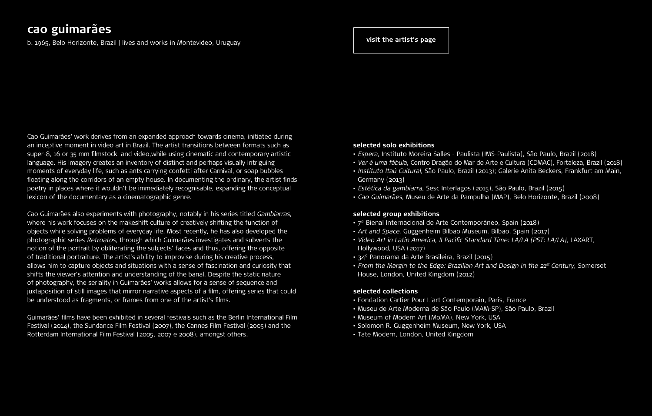# **cao guimarães**

b. 1965, Belo Horizonte, Brazil | lives and works in Montevideo, Uruguay **[visit the artist's page](https://nararoesler.art/en/artists/36-cao-guimaraes/)**

Cao Guimarães' work derives from an expanded approach towards cinema, initiated during an inceptive moment in video art in Brazil. The artist transitions between formats such as super-8, 16 or 35 mm filmstock and video,while using cinematic and contemporary artistic language. His imagery creates an inventory of distinct and perhaps visually intriguing moments of everyday life, such as ants carrying confetti after Carnival, or soap bubbles floating along the corridors of an empty house. In documenting the ordinary, the artist finds poetry in places where it wouldn't be immediately recognisable, expanding the conceptual lexicon of the documentary as a cinematographic genre.

Cao Guimarães also experiments with photography, notably in his series titled Gambiarras, where his work focuses on the makeshift culture of creatively shifting the function of objects while solving problems of everyday life. Most recently, he has also developed the photographic series Retroatos, through which Guimarães investigates and subverts the notion of the portrait by obliterating the subjects' faces and thus, offering the opposite of traditional portraiture. The artist's ability to improvise during his creative process, allows him to capture objects and situations with a sense of fascination and curiosity that shifts the viewer's attention and understanding of the banal. Despite the static nature of photography, the seriality in Guimarães' works allows for a sense of sequence and juxtaposition of still images that mirror narrative aspects of a film, offering series that could be understood as fragments, or frames from one of the artist's films.

Guimarães' films have been exhibited in several festivals such as the Berlin International Film Festival (2014), the Sundance Film Festival (2007), the Cannes Film Festival (2005) and the Rotterdam International Film Festival (2005, 2007 e 2008), amongst others.

### **selected solo exhibitions**

- Espera, Instituto Moreira Salles Paulista (IMS-Paulista), São Paulo, Brazil (2018)
- Ver é uma fábula, Centro Dragão do Mar de Arte e Cultura (CDMAC), Fortaleza, Brazil (2018) • Instituto Itaú Cultural, São Paulo, Brazil (2013); Galerie Anita Beckers, Frankfurt am Main,
- Germany (2013)
- Estética da gambiarra, Sesc Interlagos (2015), São Paulo, Brazil (2015)
- Cao Guimarães, Museu de Arte da Pampulha (MAP), Belo Horizonte, Brazil (2008)

# **selected group exhibitions**

- 7ª Bienal Internacional de Arte Contemporáneo, Spain (2018)
- Art and Space, Guggenheim Bilbao Museum, Bilbao, Spain (2017)
- Video Art in Latin America, II Pacific Standard Time: LA/LA (PST: LA/LA), LAXART, Hollywood, USA (2017)
- 34º Panorama da Arte Brasileira, Brazil (2015)
- From the Margin to the Edge: Brazilian Art and Design in the 21st Century, Somerset House, London, United Kingdom (2012)

## **selected collections**

- Fondation Cartier Pour L'art Contemporain, Paris, France
- Museu de Arte Moderna de São Paulo (MAM-SP), São Paulo, Brazil
- Museum of Modern Art (MoMA), New York, USA
- Solomon R. Guggenheim Museum, New York, USA
- Tate Modern, London, United Kingdom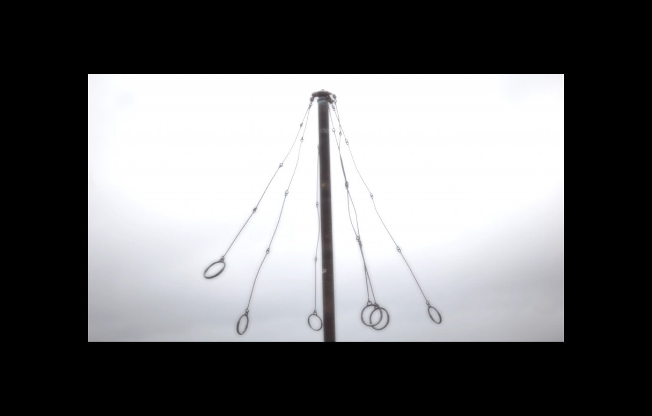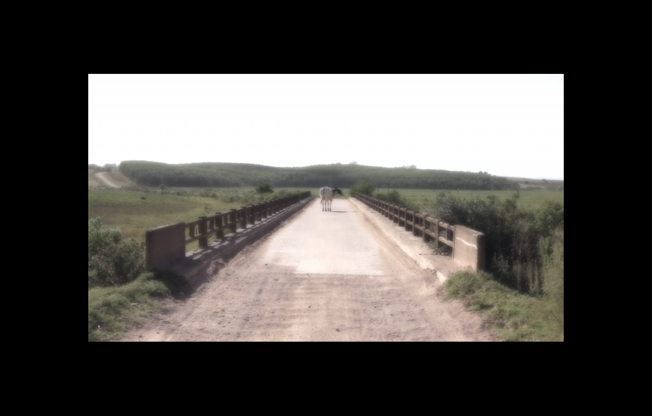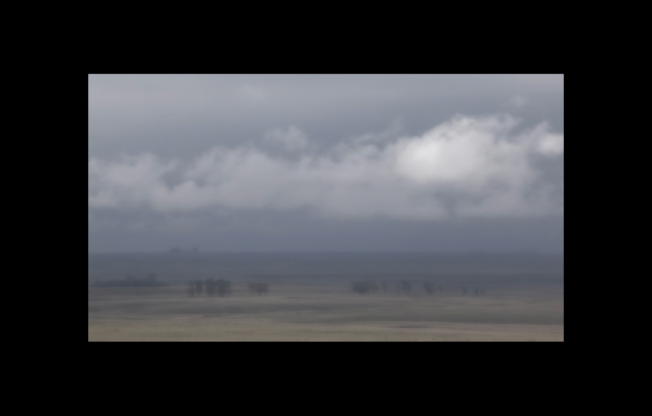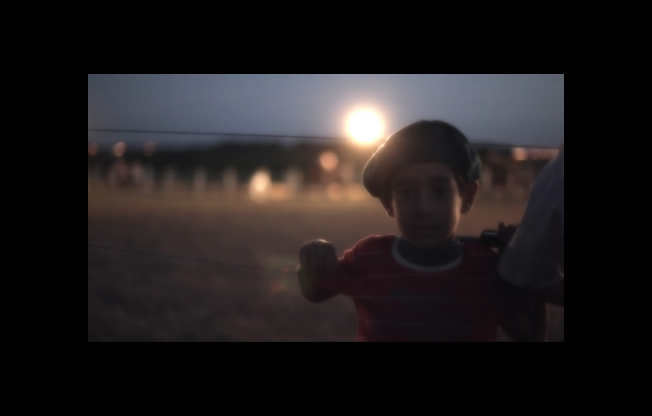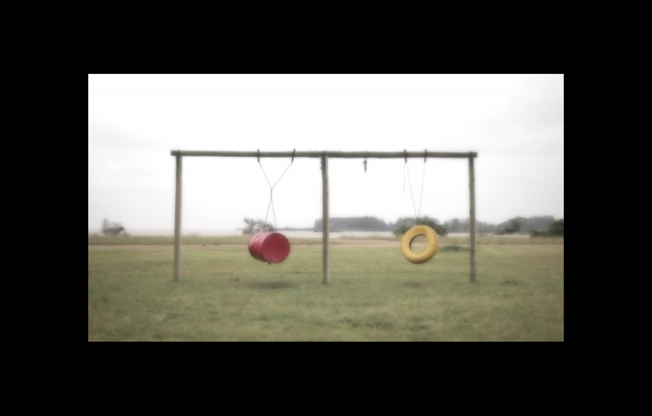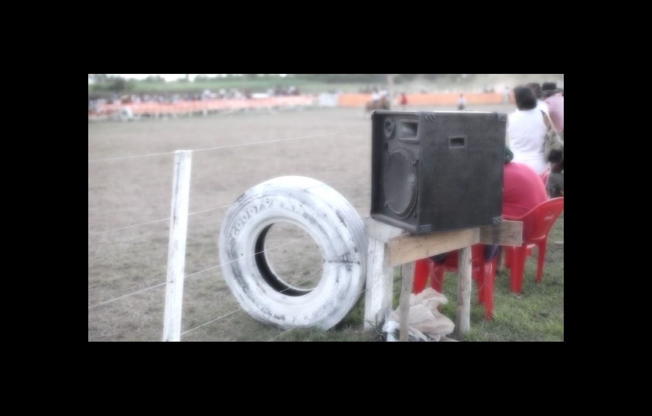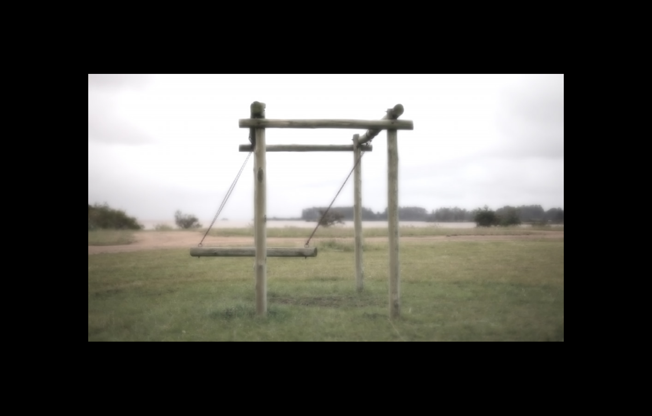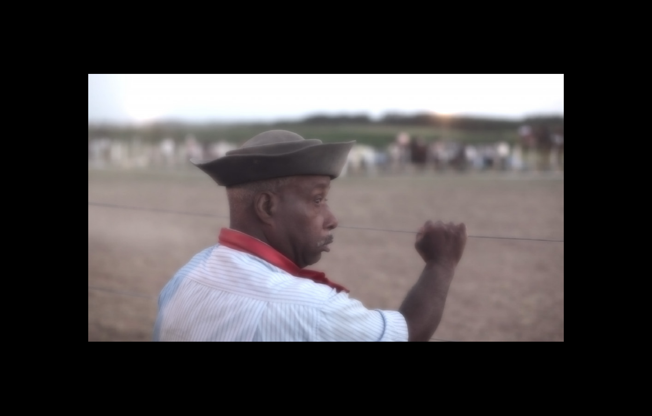